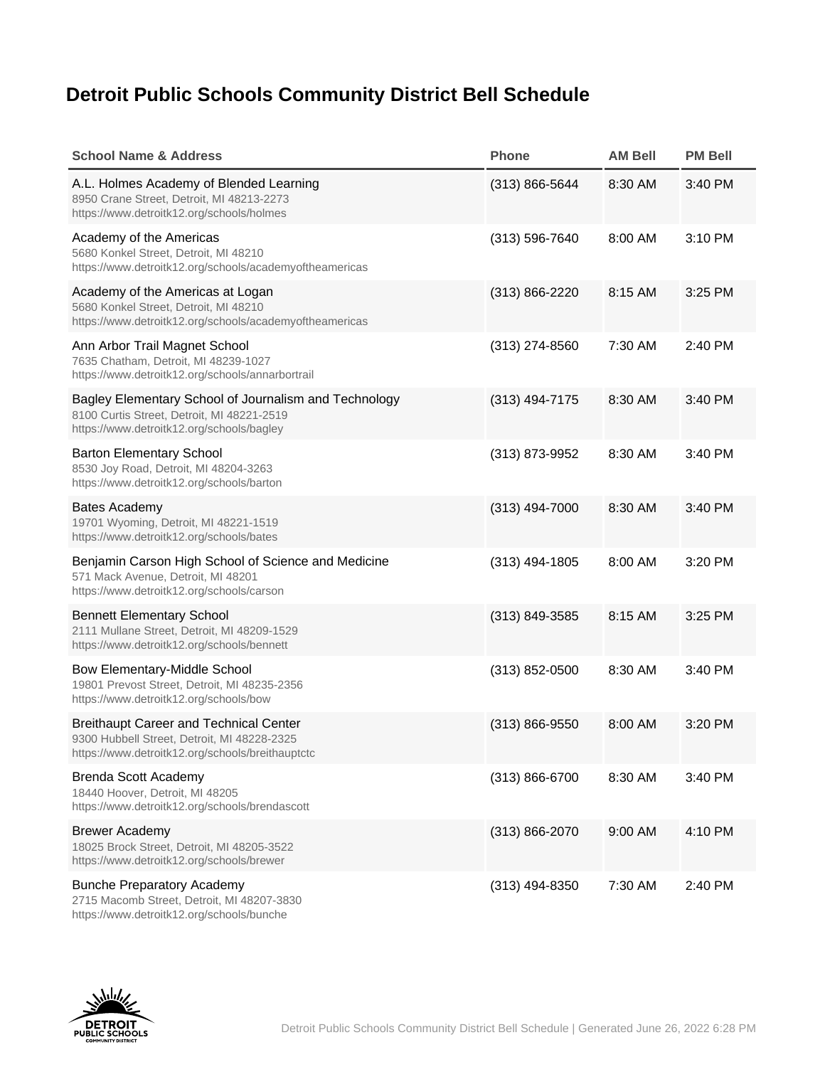## Detroit Public Schools Community District Bell Schedule

| School Name & Address                                                                                                                            | Phone              | AM Bell | PM Bell |
|--------------------------------------------------------------------------------------------------------------------------------------------------|--------------------|---------|---------|
| A.L. Holmes Academy of Blended Learning<br>8950 Crane Street, Detroit, MI 48213-2273<br>https://www.detroitk12.org/schools/holmes                | $(313) 866 - 5644$ | 8:30 AM | 3:40 PM |
| Academy of the Americas<br>5680 Konkel Street, Detroit, MI 48210<br>https://www.detroitk12.org/schools/academyoftheamericas                      | $(313) 596 - 7640$ | 8:00 AM | 3:10 PM |
| Academy of the Americas at Logan<br>5680 Konkel Street, Detroit, MI 48210<br>https://www.detroitk12.org/schools/academyoftheamericas             | (313) 866-2220     | 8:15 AM | 3:25 PM |
| Ann Arbor Trail Magnet School<br>7635 Chatham, Detroit, MI 48239-1027<br>https://www.detroitk12.org/schools/annarbortrail                        | $(313)$ 274-8560   | 7:30 AM | 2:40 PM |
| Bagley Elementary School of Journalism and Technology<br>8100 Curtis Street, Detroit, MI 48221-2519<br>https://www.detroitk12.org/schools/bagley | $(313)$ 494-7175   | 8:30 AM | 3:40 PM |
| <b>Barton Elementary School</b><br>8530 Joy Road, Detroit, MI 48204-3263<br>https://www.detroitk12.org/schools/barton                            | (313) 873-9952     | 8:30 AM | 3:40 PM |
| <b>Bates Academy</b><br>19701 Wyoming, Detroit, MI 48221-1519<br>https://www.detroitk12.org/schools/bates                                        | $(313)$ 494-7000   | 8:30 AM | 3:40 PM |
| Benjamin Carson High School of Science and Medicine<br>571 Mack Avenue, Detroit, MI 48201<br>https://www.detroitk12.org/schools/carson           | $(313)$ 494-1805   | 8:00 AM | 3:20 PM |
| <b>Bennett Elementary School</b><br>2111 Mullane Street, Detroit, MI 48209-1529<br>https://www.detroitk12.org/schools/bennett                    | $(313) 849 - 3585$ | 8:15 AM | 3:25 PM |
| Bow Elementary-Middle School<br>19801 Prevost Street, Detroit, MI 48235-2356<br>https://www.detroitk12.org/schools/bow                           | $(313)$ 852-0500   | 8:30 AM | 3:40 PM |
| <b>Breithaupt Career and Technical Center</b><br>9300 Hubbell Street, Detroit, MI 48228-2325<br>https://www.detroitk12.org/schools/breithauptctc | $(313) 866 - 9550$ | 8:00 AM | 3:20 PM |
| <b>Brenda Scott Academy</b><br>18440 Hoover, Detroit, MI 48205<br>https://www.detroitk12.org/schools/brendascott                                 | $(313) 866 - 6700$ | 8:30 AM | 3:40 PM |
| <b>Brewer Academy</b><br>18025 Brock Street, Detroit, MI 48205-3522<br>https://www.detroitk12.org/schools/brewer                                 | $(313) 866 - 2070$ | 9:00 AM | 4:10 PM |
| <b>Bunche Preparatory Academy</b><br>2715 Macomb Street, Detroit, MI 48207-3830<br>https://www.detroitk12.org/schools/bunche                     | (313) 494-8350     | 7:30 AM | 2:40 PM |

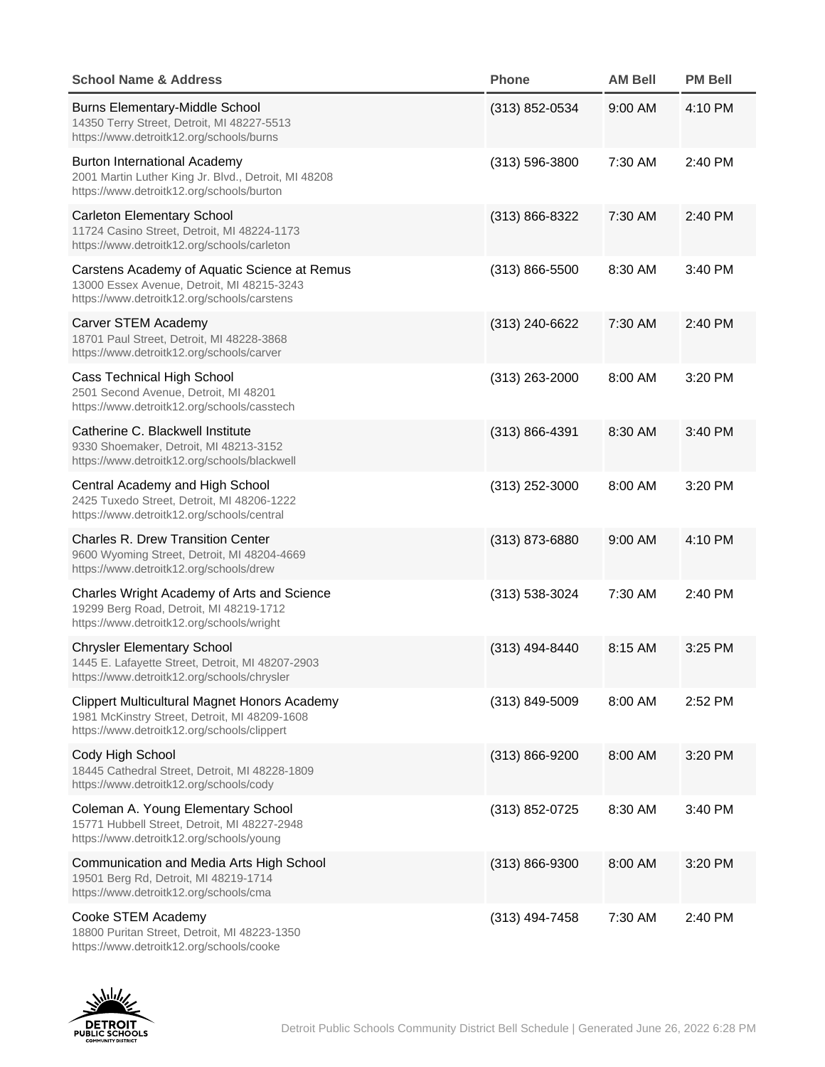| School Name & Address                                                                                                                               | Phone              | AM Bell | PM Bell |
|-----------------------------------------------------------------------------------------------------------------------------------------------------|--------------------|---------|---------|
| <b>Burns Elementary-Middle School</b><br>14350 Terry Street, Detroit, MI 48227-5513<br>https://www.detroitk12.org/schools/burns                     | $(313)$ 852-0534   | 9:00 AM | 4:10 PM |
| <b>Burton International Academy</b><br>2001 Martin Luther King Jr. Blvd., Detroit, MI 48208<br>https://www.detroitk12.org/schools/burton            | $(313) 596 - 3800$ | 7:30 AM | 2:40 PM |
| <b>Carleton Elementary School</b><br>11724 Casino Street, Detroit, MI 48224-1173<br>https://www.detroitk12.org/schools/carleton                     | $(313) 866 - 8322$ | 7:30 AM | 2:40 PM |
| Carstens Academy of Aquatic Science at Remus<br>13000 Essex Avenue, Detroit, MI 48215-3243<br>https://www.detroitk12.org/schools/carstens           | $(313) 866 - 5500$ | 8:30 AM | 3:40 PM |
| Carver STEM Academy<br>18701 Paul Street, Detroit, MI 48228-3868<br>https://www.detroitk12.org/schools/carver                                       | $(313)$ 240-6622   | 7:30 AM | 2:40 PM |
| Cass Technical High School<br>2501 Second Avenue, Detroit, MI 48201<br>https://www.detroitk12.org/schools/casstech                                  | $(313)$ 263-2000   | 8:00 AM | 3:20 PM |
| Catherine C. Blackwell Institute<br>9330 Shoemaker, Detroit, MI 48213-3152<br>https://www.detroitk12.org/schools/blackwell                          | $(313) 866 - 4391$ | 8:30 AM | 3:40 PM |
| Central Academy and High School<br>2425 Tuxedo Street, Detroit, MI 48206-1222<br>https://www.detroitk12.org/schools/central                         | $(313)$ 252-3000   | 8:00 AM | 3:20 PM |
| <b>Charles R. Drew Transition Center</b><br>9600 Wyoming Street, Detroit, MI 48204-4669<br>https://www.detroitk12.org/schools/drew                  | $(313)$ 873-6880   | 9:00 AM | 4:10 PM |
| Charles Wright Academy of Arts and Science<br>19299 Berg Road, Detroit, MI 48219-1712<br>https://www.detroitk12.org/schools/wright                  | (313) 538-3024     | 7:30 AM | 2:40 PM |
| <b>Chrysler Elementary School</b><br>1445 E. Lafayette Street, Detroit, MI 48207-2903<br>https://www.detroitk12.org/schools/chrysler                | (313) 494-8440     | 8:15 AM | 3:25 PM |
| <b>Clippert Multicultural Magnet Honors Academy</b><br>1981 McKinstry Street, Detroit, MI 48209-1608<br>https://www.detroitk12.org/schools/clippert | $(313) 849 - 5009$ | 8:00 AM | 2:52 PM |
| Cody High School<br>18445 Cathedral Street, Detroit, MI 48228-1809<br>https://www.detroitk12.org/schools/cody                                       | $(313) 866 - 9200$ | 8:00 AM | 3:20 PM |
| Coleman A. Young Elementary School<br>15771 Hubbell Street, Detroit, MI 48227-2948<br>https://www.detroitk12.org/schools/young                      | (313) 852-0725     | 8:30 AM | 3:40 PM |
| Communication and Media Arts High School<br>19501 Berg Rd, Detroit, MI 48219-1714<br>https://www.detroitk12.org/schools/cma                         | $(313) 866 - 9300$ | 8:00 AM | 3:20 PM |
| Cooke STEM Academy<br>18800 Puritan Street, Detroit, MI 48223-1350<br>https://www.detroitk12.org/schools/cooke                                      | $(313)$ 494-7458   | 7:30 AM | 2:40 PM |

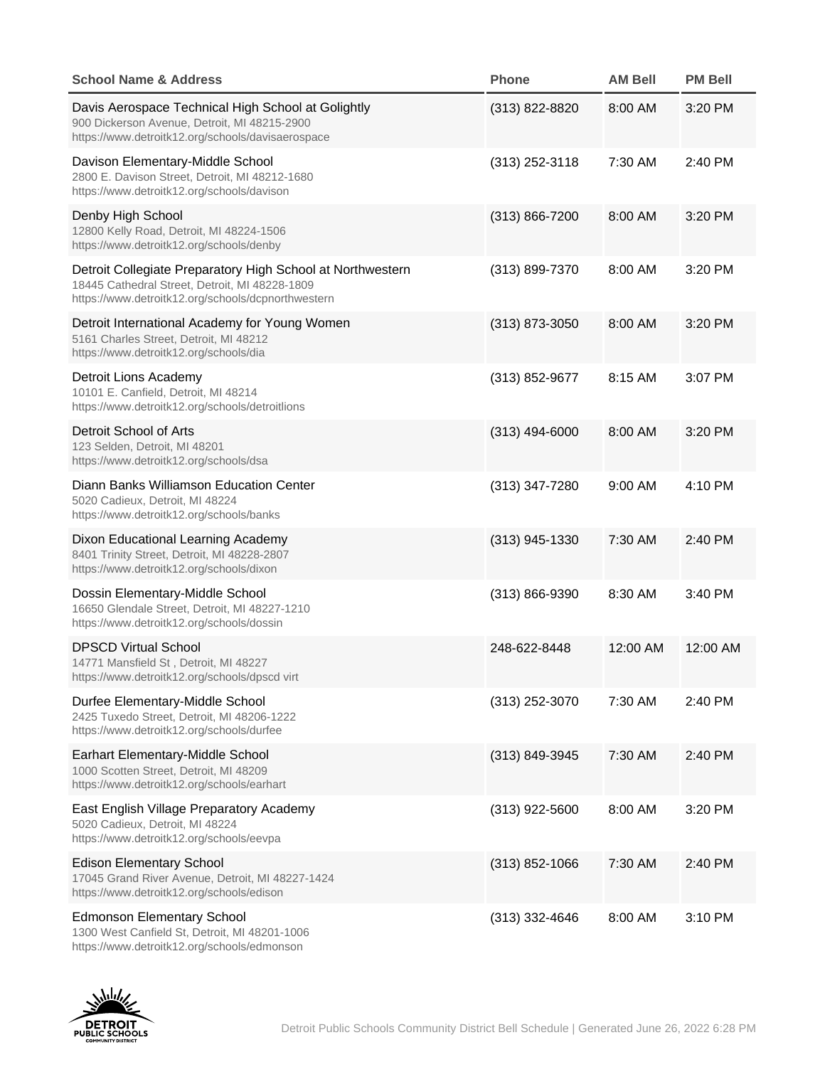| School Name & Address                                                                                                                                              | Phone              | AM Bell  | PM Bell  |
|--------------------------------------------------------------------------------------------------------------------------------------------------------------------|--------------------|----------|----------|
| Davis Aerospace Technical High School at Golightly<br>900 Dickerson Avenue, Detroit, MI 48215-2900<br>https://www.detroitk12.org/schools/davisaerospace            | $(313)$ 822-8820   | 8:00 AM  | 3:20 PM  |
| Davison Elementary-Middle School<br>2800 E. Davison Street, Detroit, MI 48212-1680<br>https://www.detroitk12.org/schools/davison                                   | $(313)$ 252-3118   | 7:30 AM  | 2:40 PM  |
| Denby High School<br>12800 Kelly Road, Detroit, MI 48224-1506<br>https://www.detroitk12.org/schools/denby                                                          | $(313) 866 - 7200$ | 8:00 AM  | 3:20 PM  |
| Detroit Collegiate Preparatory High School at Northwestern<br>18445 Cathedral Street, Detroit, MI 48228-1809<br>https://www.detroitk12.org/schools/dcpnorthwestern | (313) 899-7370     | 8:00 AM  | 3:20 PM  |
| Detroit International Academy for Young Women<br>5161 Charles Street, Detroit, MI 48212<br>https://www.detroitk12.org/schools/dia                                  | $(313)$ 873-3050   | 8:00 AM  | 3:20 PM  |
| Detroit Lions Academy<br>10101 E. Canfield, Detroit, MI 48214<br>https://www.detroitk12.org/schools/detroitlions                                                   | (313) 852-9677     | 8:15 AM  | 3:07 PM  |
| Detroit School of Arts<br>123 Selden, Detroit, MI 48201<br>https://www.detroitk12.org/schools/dsa                                                                  | $(313)$ 494-6000   | 8:00 AM  | 3:20 PM  |
| Diann Banks Williamson Education Center<br>5020 Cadieux, Detroit, MI 48224<br>https://www.detroitk12.org/schools/banks                                             | (313) 347-7280     | 9:00 AM  | 4:10 PM  |
| Dixon Educational Learning Academy<br>8401 Trinity Street, Detroit, MI 48228-2807<br>https://www.detroitk12.org/schools/dixon                                      | $(313)$ 945-1330   | 7:30 AM  | 2:40 PM  |
| Dossin Elementary-Middle School<br>16650 Glendale Street, Detroit, MI 48227-1210<br>https://www.detroitk12.org/schools/dossin                                      | (313) 866-9390     | 8:30 AM  | 3:40 PM  |
| <b>DPSCD Virtual School</b><br>14771 Mansfield St, Detroit, MI 48227<br>https://www.detroitk12.org/schools/dpscd virt                                              | 248-622-8448       | 12:00 AM | 12:00 AM |
| Durfee Elementary-Middle School<br>2425 Tuxedo Street, Detroit, MI 48206-1222<br>https://www.detroitk12.org/schools/durfee                                         | $(313)$ 252-3070   | 7:30 AM  | 2:40 PM  |
| Earhart Elementary-Middle School<br>1000 Scotten Street, Detroit, MI 48209<br>https://www.detroitk12.org/schools/earhart                                           | (313) 849-3945     | 7:30 AM  | 2:40 PM  |
| East English Village Preparatory Academy<br>5020 Cadieux. Detroit. MI 48224<br>https://www.detroitk12.org/schools/eevpa                                            | $(313)$ 922-5600   | 8:00 AM  | 3:20 PM  |
| <b>Edison Elementary School</b><br>17045 Grand River Avenue, Detroit, MI 48227-1424<br>https://www.detroitk12.org/schools/edison                                   | $(313)$ 852-1066   | 7:30 AM  | 2:40 PM  |
| <b>Edmonson Elementary School</b><br>1300 West Canfield St, Detroit, MI 48201-1006<br>https://www.detroitk12.org/schools/edmonson                                  | $(313)$ 332-4646   | 8:00 AM  | 3:10 PM  |

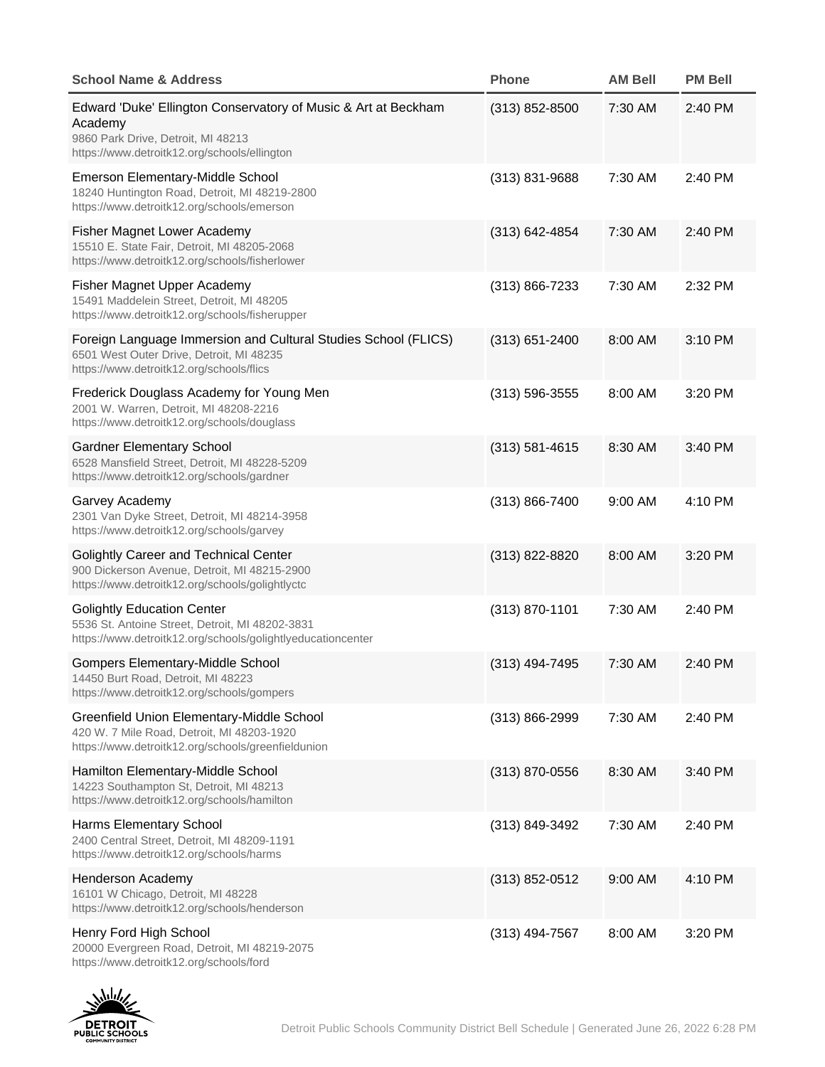| School Name & Address                                                                                                                                           | Phone              | AM Bell | PM Bell |
|-----------------------------------------------------------------------------------------------------------------------------------------------------------------|--------------------|---------|---------|
| Edward 'Duke' Ellington Conservatory of Music & Art at Beckham<br>Academy<br>9860 Park Drive, Detroit, MI 48213<br>https://www.detroitk12.org/schools/ellington | $(313)$ 852-8500   | 7:30 AM | 2:40 PM |
| Emerson Elementary-Middle School<br>18240 Huntington Road, Detroit, MI 48219-2800<br>https://www.detroitk12.org/schools/emerson                                 | $(313)$ 831-9688   | 7:30 AM | 2:40 PM |
| Fisher Magnet Lower Academy<br>15510 E. State Fair, Detroit, MI 48205-2068<br>https://www.detroitk12.org/schools/fisherlower                                    | $(313) 642 - 4854$ | 7:30 AM | 2:40 PM |
| Fisher Magnet Upper Academy<br>15491 Maddelein Street, Detroit, MI 48205<br>https://www.detroitk12.org/schools/fisherupper                                      | $(313) 866 - 7233$ | 7:30 AM | 2:32 PM |
| Foreign Language Immersion and Cultural Studies School (FLICS)<br>6501 West Outer Drive, Detroit, MI 48235<br>https://www.detroitk12.org/schools/flics          | $(313) 651 - 2400$ | 8:00 AM | 3:10 PM |
| Frederick Douglass Academy for Young Men<br>2001 W. Warren, Detroit, MI 48208-2216<br>https://www.detroitk12.org/schools/douglass                               | $(313) 596 - 3555$ | 8:00 AM | 3:20 PM |
| <b>Gardner Elementary School</b><br>6528 Mansfield Street, Detroit, MI 48228-5209<br>https://www.detroitk12.org/schools/gardner                                 | $(313) 581 - 4615$ | 8:30 AM | 3:40 PM |
| Garvey Academy<br>2301 Van Dyke Street, Detroit, MI 48214-3958<br>https://www.detroitk12.org/schools/garvey                                                     | $(313) 866 - 7400$ | 9:00 AM | 4:10 PM |
| Golightly Career and Technical Center<br>900 Dickerson Avenue, Detroit, MI 48215-2900<br>https://www.detroitk12.org/schools/golightlyctc                        | (313) 822-8820     | 8:00 AM | 3:20 PM |
| <b>Golightly Education Center</b><br>5536 St. Antoine Street, Detroit, MI 48202-3831<br>https://www.detroitk12.org/schools/golightlyeducationcenter             | (313) 870-1101     | 7:30 AM | 2:40 PM |
| Gompers Elementary-Middle School<br>14450 Burt Road, Detroit, MI 48223<br>https://www.detroitk12.org/schools/gompers                                            | $(313)$ 494-7495   | 7:30 AM | 2:40 PM |
| Greenfield Union Elementary-Middle School<br>420 W. 7 Mile Road, Detroit, MI 48203-1920<br>https://www.detroitk12.org/schools/greenfieldunion                   | $(313) 866 - 2999$ | 7:30 AM | 2:40 PM |
| Hamilton Elementary-Middle School<br>14223 Southampton St, Detroit, MI 48213<br>https://www.detroitk12.org/schools/hamilton                                     | $(313)$ 870-0556   | 8:30 AM | 3:40 PM |
| Harms Elementary School<br>2400 Central Street, Detroit, MI 48209-1191<br>https://www.detroitk12.org/schools/harms                                              | (313) 849-3492     | 7:30 AM | 2:40 PM |
| Henderson Academy<br>16101 W Chicago, Detroit, MI 48228<br>https://www.detroitk12.org/schools/henderson                                                         | $(313) 852 - 0512$ | 9:00 AM | 4:10 PM |
| Henry Ford High School<br>20000 Evergreen Road, Detroit, MI 48219-2075<br>https://www.detroitk12.org/schools/ford                                               | $(313)$ 494-7567   | 8:00 AM | 3:20 PM |

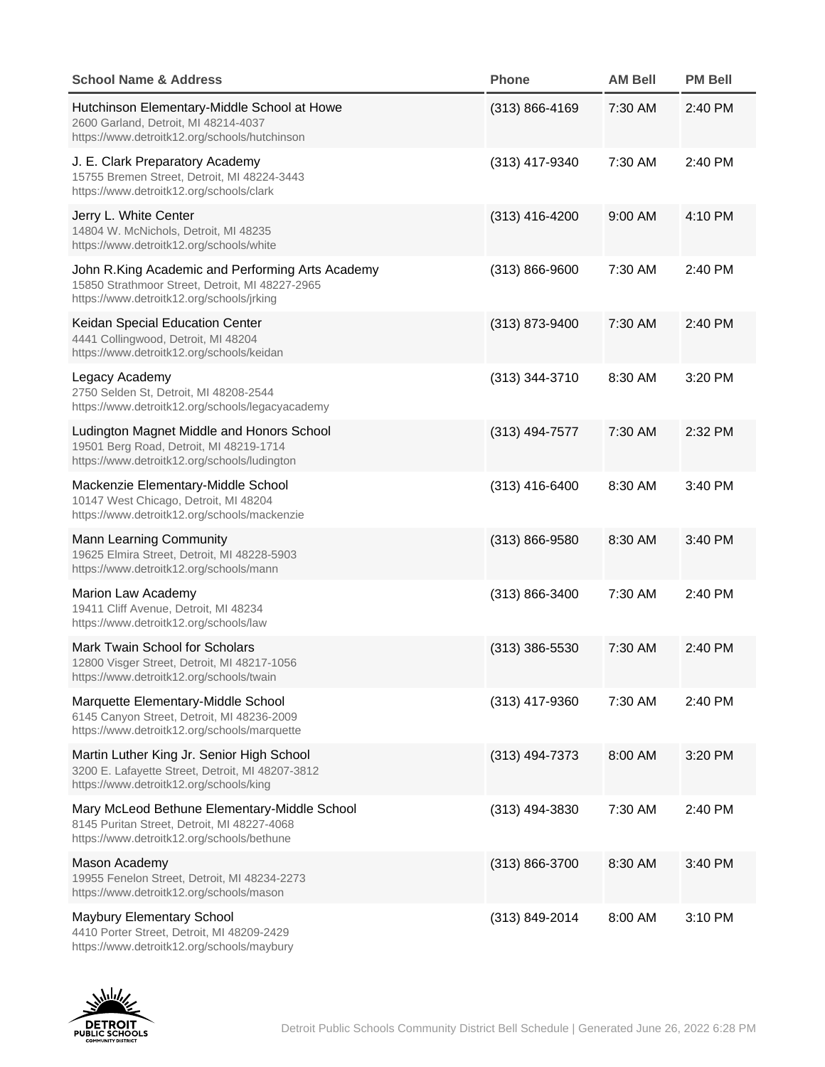| School Name & Address                                                                                                                            | Phone              | AM Bell | PM Bell |
|--------------------------------------------------------------------------------------------------------------------------------------------------|--------------------|---------|---------|
| Hutchinson Elementary-Middle School at Howe<br>2600 Garland, Detroit, MI 48214-4037<br>https://www.detroitk12.org/schools/hutchinson             | $(313) 866 - 4169$ | 7:30 AM | 2:40 PM |
| J. E. Clark Preparatory Academy<br>15755 Bremen Street, Detroit, MI 48224-3443<br>https://www.detroitk12.org/schools/clark                       | (313) 417-9340     | 7:30 AM | 2:40 PM |
| Jerry L. White Center<br>14804 W. McNichols, Detroit, MI 48235<br>https://www.detroitk12.org/schools/white                                       | $(313)$ 416-4200   | 9:00 AM | 4:10 PM |
| John R.King Academic and Performing Arts Academy<br>15850 Strathmoor Street, Detroit, MI 48227-2965<br>https://www.detroitk12.org/schools/jrking | (313) 866-9600     | 7:30 AM | 2:40 PM |
| Keidan Special Education Center<br>4441 Collingwood, Detroit, MI 48204<br>https://www.detroitk12.org/schools/keidan                              | (313) 873-9400     | 7:30 AM | 2:40 PM |
| Legacy Academy<br>2750 Selden St, Detroit, MI 48208-2544<br>https://www.detroitk12.org/schools/legacyacademy                                     | $(313)$ 344-3710   | 8:30 AM | 3:20 PM |
| Ludington Magnet Middle and Honors School<br>19501 Berg Road, Detroit, MI 48219-1714<br>https://www.detroitk12.org/schools/ludington             | $(313)$ 494-7577   | 7:30 AM | 2:32 PM |
| Mackenzie Elementary-Middle School<br>10147 West Chicago, Detroit, MI 48204<br>https://www.detroitk12.org/schools/mackenzie                      | $(313)$ 416-6400   | 8:30 AM | 3:40 PM |
| Mann Learning Community<br>19625 Elmira Street, Detroit, MI 48228-5903<br>https://www.detroitk12.org/schools/mann                                | $(313) 866 - 9580$ | 8:30 AM | 3:40 PM |
| Marion Law Academy<br>19411 Cliff Avenue, Detroit, MI 48234<br>https://www.detroitk12.org/schools/law                                            | (313) 866-3400     | 7:30 AM | 2:40 PM |
| Mark Twain School for Scholars<br>12800 Visger Street, Detroit, MI 48217-1056<br>https://www.detroitk12.org/schools/twain                        | $(313)$ 386-5530   | 7:30 AM | 2:40 PM |
| Marquette Elementary-Middle School<br>6145 Canyon Street, Detroit, MI 48236-2009<br>https://www.detroitk12.org/schools/marquette                 | (313) 417-9360     | 7:30 AM | 2:40 PM |
| Martin Luther King Jr. Senior High School<br>3200 E. Lafayette Street, Detroit, MI 48207-3812<br>https://www.detroitk12.org/schools/king         | $(313)$ 494-7373   | 8:00 AM | 3:20 PM |
| Mary McLeod Bethune Elementary-Middle School<br>8145 Puritan Street, Detroit, MI 48227-4068<br>https://www.detroitk12.org/schools/bethune        | (313) 494-3830     | 7:30 AM | 2:40 PM |
| Mason Academy<br>19955 Fenelon Street, Detroit, MI 48234-2273<br>https://www.detroitk12.org/schools/mason                                        | $(313) 866 - 3700$ | 8:30 AM | 3:40 PM |
| Maybury Elementary School<br>4410 Porter Street, Detroit, MI 48209-2429<br>https://www.detroitk12.org/schools/maybury                            | (313) 849-2014     | 8:00 AM | 3:10 PM |

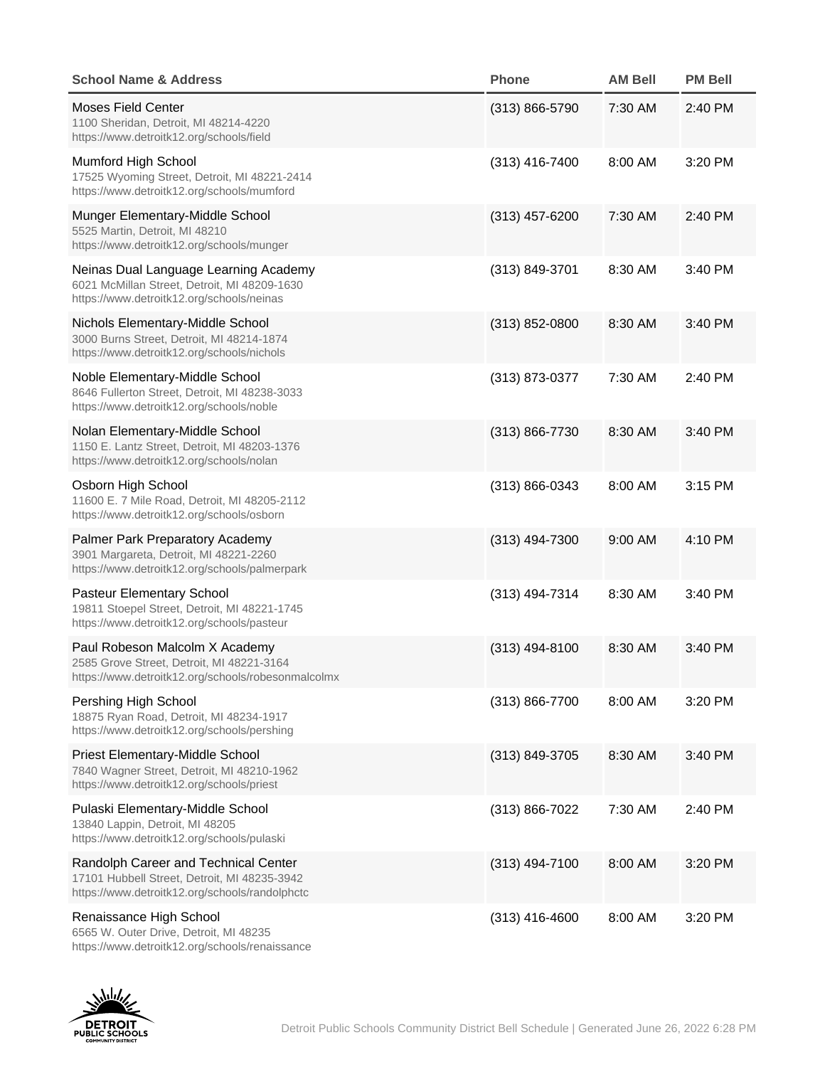| School Name & Address                                                                                                                  | Phone              | AM Bell | PM Bell |
|----------------------------------------------------------------------------------------------------------------------------------------|--------------------|---------|---------|
| Moses Field Center<br>1100 Sheridan, Detroit, MI 48214-4220<br>https://www.detroitk12.org/schools/field                                | $(313) 866 - 5790$ | 7:30 AM | 2:40 PM |
| Mumford High School<br>17525 Wyoming Street, Detroit, MI 48221-2414<br>https://www.detroitk12.org/schools/mumford                      | (313) 416-7400     | 8:00 AM | 3:20 PM |
| Munger Elementary-Middle School<br>5525 Martin, Detroit, MI 48210<br>https://www.detroitk12.org/schools/munger                         | $(313)$ 457-6200   | 7:30 AM | 2:40 PM |
| Neinas Dual Language Learning Academy<br>6021 McMillan Street, Detroit, MI 48209-1630<br>https://www.detroitk12.org/schools/neinas     | (313) 849-3701     | 8:30 AM | 3:40 PM |
| Nichols Elementary-Middle School<br>3000 Burns Street, Detroit, MI 48214-1874<br>https://www.detroitk12.org/schools/nichols            | $(313)$ 852-0800   | 8:30 AM | 3:40 PM |
| Noble Elementary-Middle School<br>8646 Fullerton Street, Detroit, MI 48238-3033<br>https://www.detroitk12.org/schools/noble            | (313) 873-0377     | 7:30 AM | 2:40 PM |
| Nolan Elementary-Middle School<br>1150 E. Lantz Street, Detroit, MI 48203-1376<br>https://www.detroitk12.org/schools/nolan             | $(313) 866 - 7730$ | 8:30 AM | 3:40 PM |
| Osborn High School<br>11600 E. 7 Mile Road, Detroit, MI 48205-2112<br>https://www.detroitk12.org/schools/osborn                        | $(313) 866 - 0343$ | 8:00 AM | 3:15 PM |
| Palmer Park Preparatory Academy<br>3901 Margareta, Detroit, MI 48221-2260<br>https://www.detroitk12.org/schools/palmerpark             | $(313)$ 494-7300   | 9:00 AM | 4:10 PM |
| Pasteur Elementary School<br>19811 Stoepel Street, Detroit, MI 48221-1745<br>https://www.detroitk12.org/schools/pasteur                | (313) 494-7314     | 8:30 AM | 3:40 PM |
| Paul Robeson Malcolm X Academy<br>2585 Grove Street, Detroit, MI 48221-3164<br>https://www.detroitk12.org/schools/robesonmalcolmx      | $(313)$ 494-8100   | 8:30 AM | 3:40 PM |
| Pershing High School<br>18875 Ryan Road, Detroit, MI 48234-1917<br>https://www.detroitk12.org/schools/pershing                         | (313) 866-7700     | 8:00 AM | 3:20 PM |
| Priest Elementary-Middle School<br>7840 Wagner Street, Detroit, MI 48210-1962<br>https://www.detroitk12.org/schools/priest             | (313) 849-3705     | 8:30 AM | 3:40 PM |
| Pulaski Elementary-Middle School<br>13840 Lappin, Detroit, MI 48205<br>https://www.detroitk12.org/schools/pulaski                      | $(313) 866 - 7022$ | 7:30 AM | 2:40 PM |
| Randolph Career and Technical Center<br>17101 Hubbell Street, Detroit, MI 48235-3942<br>https://www.detroitk12.org/schools/randolphctc | $(313)$ 494-7100   | 8:00 AM | 3:20 PM |
| Renaissance High School<br>6565 W. Outer Drive, Detroit, MI 48235<br>https://www.detroitk12.org/schools/renaissance                    | $(313)$ 416-4600   | 8:00 AM | 3:20 PM |